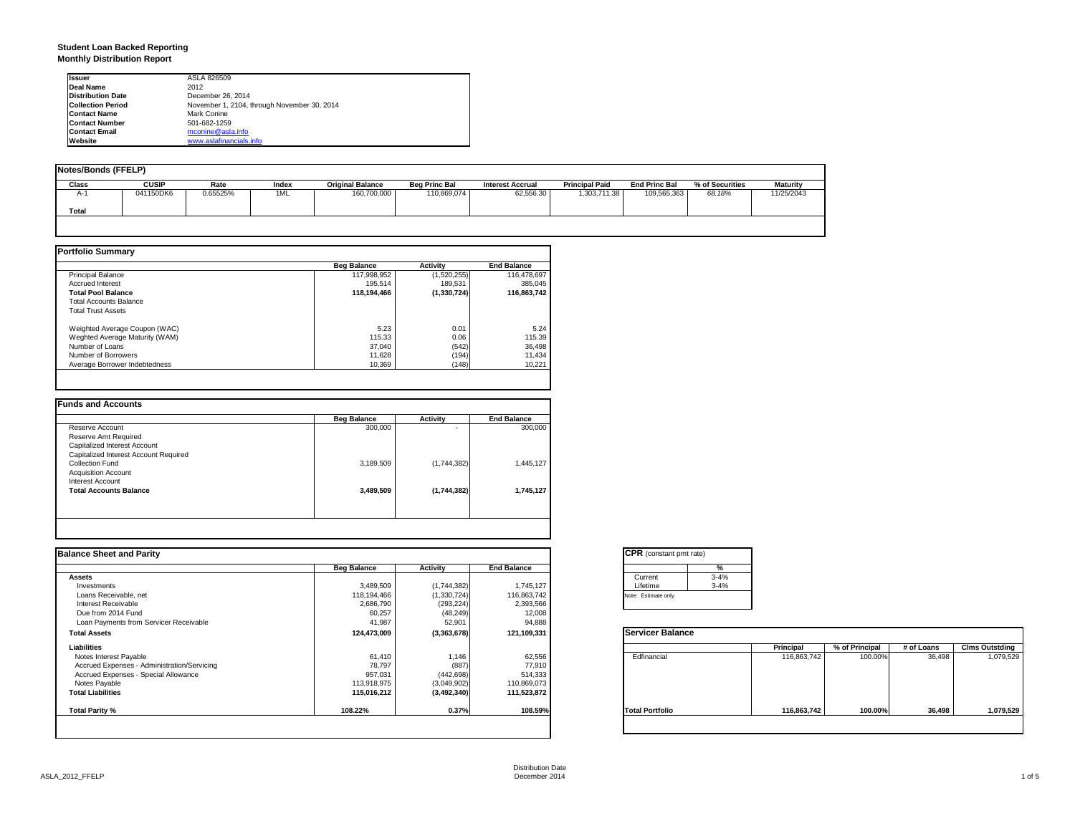### **Student Loan Backed Reporting Monthly Distribution Report**

| <b>Issuer</b>            | ASLA 826509                                 |  |
|--------------------------|---------------------------------------------|--|
| Deal Name                | 2012                                        |  |
| <b>Distribution Date</b> | December 26, 2014                           |  |
| <b>Collection Period</b> | November 1, 2104, through November 30, 2014 |  |
| <b>Contact Name</b>      | Mark Conine                                 |  |
| <b>Contact Number</b>    | 501-682-1259                                |  |
| <b>Contact Email</b>     | mconine@asla.info                           |  |
| Website                  | www.aslafinancials.info                     |  |

| <b>Notes/Bonds (FFELP)</b> |              |          |       |                         |                      |                         |                       |                      |                 |                 |
|----------------------------|--------------|----------|-------|-------------------------|----------------------|-------------------------|-----------------------|----------------------|-----------------|-----------------|
| Class                      | <b>CUSIP</b> | Rate     | Index | <b>Original Balance</b> | <b>Beg Princ Bal</b> | <b>Interest Accrual</b> | <b>Principal Paid</b> | <b>End Princ Bal</b> | % of Securities | <b>Maturity</b> |
| $A-1$                      | 041150DK6    | 0.65525% | 1ML   | 160,700,000             | 110,869,074          | 62,556.30               | 1,303,711.38          | 109.565.363          | 68.18%          | 11/25/2043      |
| <b>Total</b>               |              |          |       |                         |                      |                         |                       |                      |                 |                 |
|                            |              |          |       |                         |                      |                         |                       |                      |                 |                 |

|                                | <b>Beg Balance</b> | <b>Activity</b> | <b>End Balance</b> |
|--------------------------------|--------------------|-----------------|--------------------|
| <b>Principal Balance</b>       | 117.998.952        | (1,520,255)     | 116,478,697        |
| <b>Accrued Interest</b>        | 195.514            | 189.531         | 385.045            |
| <b>Total Pool Balance</b>      | 118,194,466        | (1,330,724)     | 116,863,742        |
| <b>Total Accounts Balance</b>  |                    |                 |                    |
| <b>Total Trust Assets</b>      |                    |                 |                    |
| Weighted Average Coupon (WAC)  | 5.23               | 0.01            | 5.24               |
| Weghted Average Maturity (WAM) | 115.33             | 0.06            | 115.39             |
| Number of Loans                | 37,040             | (542)           | 36,498             |
| Number of Borrowers            | 11,628             | (194)           | 11,434             |
| Average Borrower Indebtedness  | 10,369             | (148)           | 10,221             |

| <b>Beg Balance</b> | <b>Activity</b> | <b>End Balance</b> |
|--------------------|-----------------|--------------------|
| 300,000            |                 | 300,000            |
|                    |                 |                    |
|                    |                 |                    |
|                    |                 |                    |
| 3,189,509          | (1,744,382)     | 1,445,127          |
|                    |                 |                    |
|                    |                 |                    |
| 3,489,509          | (1,744,382)     | 1,745,127          |
|                    |                 |                    |
|                    |                 |                    |
|                    |                 |                    |

| <b>Balance Sheet and Parity</b>             |                    |               |                    | <b>CPR</b> (constant pmt rate) |             |                |            |                       |
|---------------------------------------------|--------------------|---------------|--------------------|--------------------------------|-------------|----------------|------------|-----------------------|
|                                             | <b>Beg Balance</b> | Activity      | <b>End Balance</b> | %                              |             |                |            |                       |
| <b>Assets</b>                               |                    |               |                    | $3 - 4%$<br>Current            |             |                |            |                       |
| Investments                                 | 3,489,509          | (1,744,382)   | 1,745,127          | Lifetime<br>$3 - 4%$           |             |                |            |                       |
| Loans Receivable, net                       | 118,194,466        | (1,330,724)   | 116,863,742        | Note: Estimate only.           |             |                |            |                       |
| Interest Receivable                         | 2,686,790          | (293, 224)    | 2,393,566          |                                |             |                |            |                       |
| Due from 2014 Fund                          | 60,257             | (48, 249)     | 12,008             |                                |             |                |            |                       |
| Loan Payments from Servicer Receivable      | 41,987             | 52,901        | 94,888             |                                |             |                |            |                       |
| <b>Total Assets</b>                         | 124,473,009        | (3,363,678)   | 121,109,331        | <b>Servicer Balance</b>        |             |                |            |                       |
| Liabilities                                 |                    |               |                    |                                | Principal   | % of Principal | # of Loans | <b>Clms Outstding</b> |
| Notes Interest Payable                      | 61,410             | 1,146         | 62,556             | Edfinancial                    | 116,863,742 | 100.00%        | 36,498     | 1,079,529             |
| Accrued Expenses - Administration/Servicing | 78,797             | (887)         | 77,910             |                                |             |                |            |                       |
| Accrued Expenses - Special Allowance        | 957,031            | (442, 698)    | 514,333            |                                |             |                |            |                       |
| Notes Payable                               | 113,918,975        | (3,049,902)   | 110,869,073        |                                |             |                |            |                       |
| <b>Total Liabilities</b>                    | 115,016,212        | (3, 492, 340) | 111,523,872        |                                |             |                |            |                       |
| Total Parity %                              | 108.22%            | 0.37%         | 108.59%            | <b>Total Portfolio</b>         | 116,863,742 | 100.00%        | 36,498     | 1,079,529             |
|                                             |                    |               |                    |                                |             |                |            |                       |

|          | %        |
|----------|----------|
| Current  | $3 - 4%$ |
| Lifetime | $3 - 4%$ |

|                        | Principal   | % of Principal | # of Loans | <b>Clms Outstding</b> |
|------------------------|-------------|----------------|------------|-----------------------|
| Edfinancial            | 116,863,742 | 100.00%        | 36,498     | 1,079,529             |
| <b>Total Portfolio</b> | 116,863,742 | 100.00%        | 36,498     | 1,079,529             |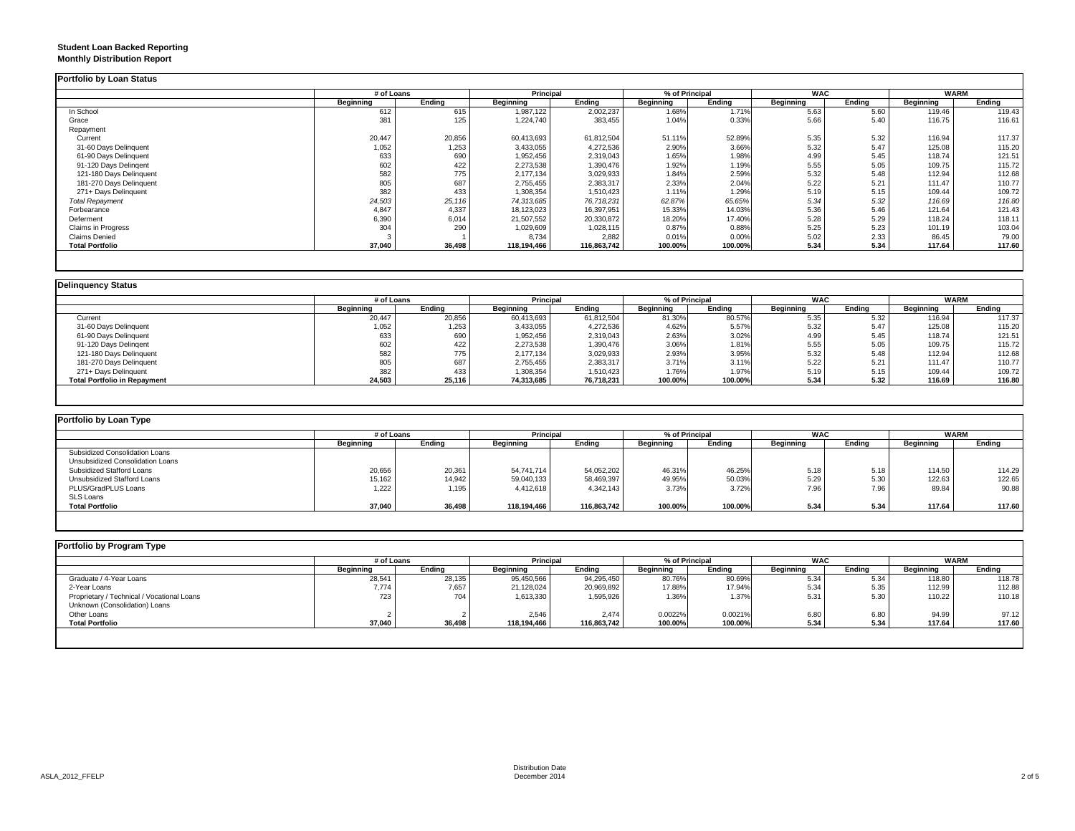### **Student Loan Backed Reporting Monthly Distribution Report**

|                         |                  | # of Loans |             | Principal   |           | % of Principal |                  | <b>WAC</b> |                  | <b>WARM</b> |
|-------------------------|------------------|------------|-------------|-------------|-----------|----------------|------------------|------------|------------------|-------------|
|                         | <b>Beginning</b> | Ending     | Beginning   | Ending      | Beginning | Ending         | <b>Beginning</b> | Ending     | <b>Beginning</b> | Ending      |
| In School               | 612              | 615        | 1,987,122   | 2,002,237   | 1.68%     | 1.71%          | 5.63             | 5.60       | 119.46           | 119.43      |
| Grace                   | 381              | 125        | 1,224,740   | 383,455     | 1.04%     | 0.33%          | 5.66             | 5.40       | 116.75           | 116.61      |
| Repayment               |                  |            |             |             |           |                |                  |            |                  |             |
| Current                 | 20,447           | 20,856     | 60,413,693  | 61,812,504  | 51.11%    | 52.89%         | 5.35             | 5.32       | 116.94           | 117.37      |
| 31-60 Days Delinquent   | 1,052            | 1,253      | 3,433,055   | 4,272,536   | 2.90%     | 3.66%          | 5.32             | 5.47       | 125.08           | 115.20      |
| 61-90 Days Delinquent   | 633              | 690        | 1,952,456   | 2,319,043   | 1.65%     | 1.98%          | 4.99             | 5.45       | 118.74           | 121.51      |
| 91-120 Days Delingent   | 602              | 422        | 2,273,538   | 1,390,476   | 1.92%     | 1.19%          | 5.55             | 5.05       | 109.75           | 115.72      |
| 121-180 Days Delinquent | 582              | 775        | 2,177,134   | 3,029,933   | 1.84%     | 2.59%          | 5.32             | 5.48       | 112.94           | 112.68      |
| 181-270 Days Delinquent | 805              | 687        | 2,755,455   | 2,383,317   | 2.33%     | 2.04%          | 5.22             | 5.21       | 111.47           | 110.77      |
| 271+ Days Delinquent    | 382              | 433        | 1,308,354   | 1,510,423   | 1.11%     | 1.29%          | 5.19             | 5.15       | 109.44           | 109.72      |
| <b>Total Repayment</b>  | 24,503           | 25,116     | 74,313,685  | 76,718,231  | 62.87%    | 65.65%         | 5.34             | 5.32       | 116.69           | 116.80      |
| Forbearance             | 4,847            | 4,337      | 18,123,023  | 16,397,951  | 15.33%    | 14.03%         | 5.36             | 5.46       | 121.64           | 121.43      |
| Deferment               | 6,390            | 6,014      | 21,507,552  | 20,330,872  | 18.20%    | 17.40%         | 5.28             | 5.29       | 118.24           | 118.11      |
| Claims in Progress      | 304              | 290        | 1,029,609   | 1,028,115   | 0.87%     | 0.88%          | 5.25             | 5.23       | 101.19           | 103.04      |
| <b>Claims Denied</b>    |                  |            | 8,734       | 2,882       | 0.01%     | 0.00%          | 5.02             | 2.33       | 86.45            | 79.00       |
| <b>Total Portfolio</b>  | 37,040           | 36,498     | 118,194,466 | 116,863,742 | 100.00%   | 100.00%        | 5.34             | 5.34       | 117.64           | 117.60      |

|                                     |           | # of Loans |            | <b>Principal</b> |           | % of Principal | <b>WAC</b>       |        | <b>WARM</b> |        |
|-------------------------------------|-----------|------------|------------|------------------|-----------|----------------|------------------|--------|-------------|--------|
|                                     | Beainnina | Ending     | Beginning  | Ending           | Beginning | Endina         | <b>Beginning</b> | Endina | Beginning   | Ending |
| Current                             | 20.447    | 20,856     | 60,413,693 | 61.812.504       | 81.30%    | 80.57%         | 5.35             | 5.32   | 116.94      | 117.37 |
| 31-60 Days Delinquent               | 1,052     | 1,253      | 3,433,055  | 4,272,536        | 4.62%     | 5.57%          | 5.32             | 5.47   | 125.08      | 115.20 |
| 61-90 Days Delinquent               | 633       | 690        | 1,952,456  | 2,319,043        | 2.63%     | 3.02%          | 4.99             | 5.45   | 118.74      | 121.51 |
| 91-120 Days Delingent               | 602       | 422        | 2,273,538  | 1,390,476        | 3.06%     | 1.81%          | 5.55             | 5.05   | 109.75      | 115.72 |
| 121-180 Days Delinquent             | 582       | 775        | 2,177,134  | 3,029,933        | 2.93%     | 3.95%          | 5.32             | 5.48   | 112.94      | 112.68 |
| 181-270 Days Delinquent             | 805       | 687        | 2,755,455  | 2,383,317        | 3.71%     | 3.11%          | 5.22             | 5.21   | 111.47      | 110.77 |
| 271+ Days Delinguent                | 382       | 433        | 1,308,354  | 1,510,423        | 1.76%     | 1.97%          | 5.19             | 5.15   | 109.44      | 109.72 |
| <b>Total Portfolio in Repayment</b> | 24,503    | 25,116     | 74,313,685 | 76,718,231       | 100.00%   | 100.00%        | 5.34             | 5.32   | 116.69      | 116.80 |

| Portfolio by Loan Type           |                  |        |                  |             |                  |                |                  |            |                  |             |  |  |  |
|----------------------------------|------------------|--------|------------------|-------------|------------------|----------------|------------------|------------|------------------|-------------|--|--|--|
|                                  | # of Loans       |        | <b>Principal</b> |             |                  | % of Principal |                  | <b>WAC</b> |                  | <b>WARM</b> |  |  |  |
|                                  | <b>Beginning</b> | Ending | Beginning        | Ending      | <b>Beginning</b> | Ending         | <b>Beginning</b> | Ending     | <b>Beginning</b> | Ending      |  |  |  |
| Subsidized Consolidation Loans   |                  |        |                  |             |                  |                |                  |            |                  |             |  |  |  |
| Unsubsidized Consolidation Loans |                  |        |                  |             |                  |                |                  |            |                  |             |  |  |  |
| Subsidized Stafford Loans        | 20,656           | 20,361 | 54.741.714       | 54,052,202  | 46.31%           | 46.25%         | 5.18             | 5.18       | 114.50           | 114.29      |  |  |  |
| Unsubsidized Stafford Loans      | 15,162           | 14,942 | 59,040,133       | 58,469,397  | 49.95%           | 50.03%         | 5.29             | 5.30       | 122.63           | 122.65      |  |  |  |
| PLUS/GradPLUS Loans              | 1.222            | 1,195  | 4.412.618        | 4.342.143   | 3.73%            | 3.72%          | 7.96             | 7.96       | 89.84            | 90.88       |  |  |  |
| <b>SLS Loans</b>                 |                  |        |                  |             |                  |                |                  |            |                  |             |  |  |  |
| <b>Total Portfolio</b>           | 37,040           | 36,498 | 118,194,466      | 116,863,742 | 100.00%          | 100.00%        | 5.34             | 5.34       | 117.64           | 117.60      |  |  |  |

|                                                                                                                                   | <b>WARM</b> |  |
|-----------------------------------------------------------------------------------------------------------------------------------|-------------|--|
| Endina<br>Ending<br><b>Beginning</b><br>Beginning<br><b>Beginning</b><br>Ending<br><b>Beginning</b><br>Endina<br><b>Beginning</b> | Ending      |  |
| 94,295,450<br>80.76%<br>28,135<br>95,450,566<br>80.69%<br>28,541<br>5.34<br>118,80<br>5.34                                        | 118.78      |  |
| 7,774<br>17.88%<br>17.94%<br>112.99<br>21,128,024<br>20,969,892<br>5.34<br>5.35<br>7,657                                          | 112.88      |  |
| 723<br>704<br>5.30<br>110.22<br>1.36%<br>1.37%<br>5.31<br>1,613,330<br>1,595,926                                                  | 110.18      |  |
|                                                                                                                                   |             |  |
| 0.0021%<br>2,546<br>0.0022%<br>6.80<br>6.80<br>2.474<br>94.99                                                                     | 97.12       |  |
| 37,040<br>5.34<br>5.34<br>36,498<br>100.00%<br>117.64<br>100.00%<br>118,194,466<br>116,863,742                                    | 117.60      |  |
|                                                                                                                                   |             |  |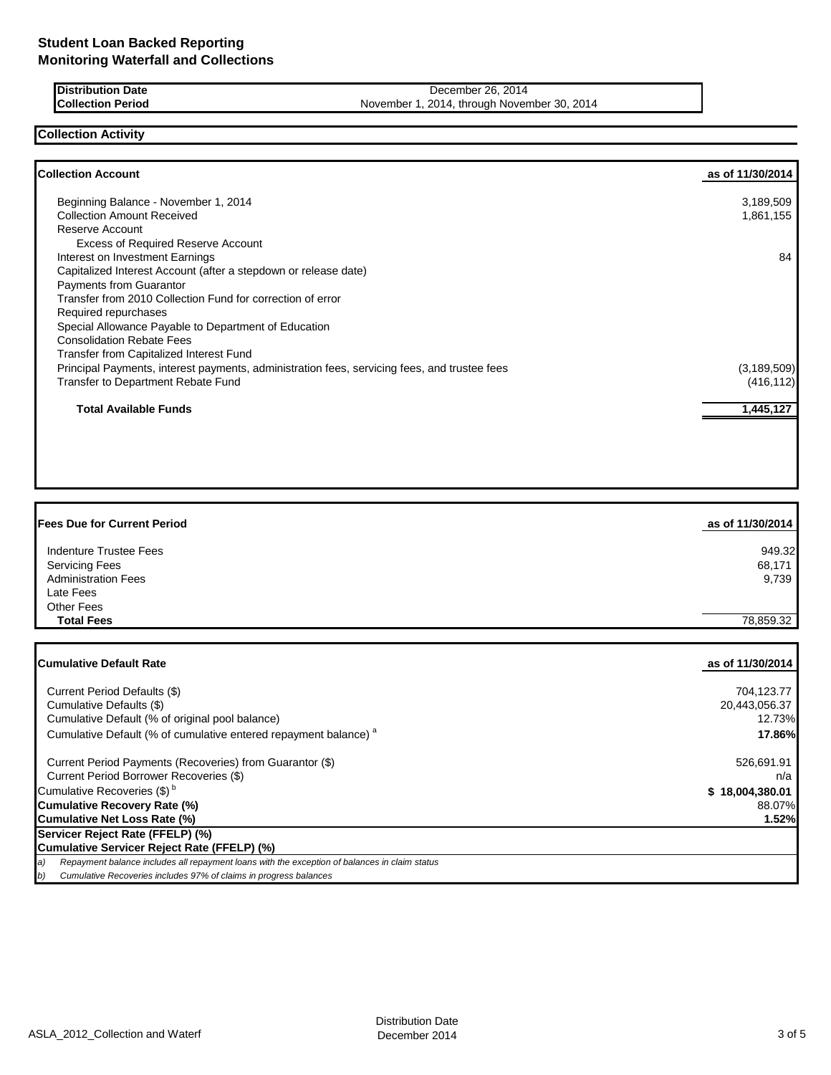**Distribution Date** December 26, 2014<br> **Collection Period** December 1, 2014, through November 1, 2014, through November 1, 2014, through November 1, 2014 November 1, 2014, through November 30, 2014

**Collection Activity**

Г

| <b>Collection Account</b>                                                                    | as of 11/30/2014 |
|----------------------------------------------------------------------------------------------|------------------|
| Beginning Balance - November 1, 2014                                                         | 3,189,509        |
| <b>Collection Amount Received</b>                                                            | 1,861,155        |
| Reserve Account                                                                              |                  |
| <b>Excess of Required Reserve Account</b>                                                    |                  |
| Interest on Investment Earnings                                                              | 84               |
| Capitalized Interest Account (after a stepdown or release date)                              |                  |
| <b>Payments from Guarantor</b>                                                               |                  |
| Transfer from 2010 Collection Fund for correction of error                                   |                  |
| Required repurchases                                                                         |                  |
| Special Allowance Payable to Department of Education                                         |                  |
| <b>Consolidation Rebate Fees</b>                                                             |                  |
| <b>Transfer from Capitalized Interest Fund</b>                                               |                  |
| Principal Payments, interest payments, administration fees, servicing fees, and trustee fees | (3, 189, 509)    |
| Transfer to Department Rebate Fund                                                           | (416, 112)       |
| Total Available Funds                                                                        | 1,445,127        |
|                                                                                              |                  |

| <b>Fees Due for Current Period</b> | as of 11/30/2014 |
|------------------------------------|------------------|
| Indenture Trustee Fees             | 949.32           |
| <b>Servicing Fees</b>              | 68,171           |
| <b>Administration Fees</b>         | 9,739            |
| Late Fees                          |                  |
| <b>Other Fees</b>                  |                  |
| <b>Total Fees</b>                  | 78.859.32        |

| <b>ICumulative Default Rate</b>                                                                     | as of 11/30/2014 |
|-----------------------------------------------------------------------------------------------------|------------------|
| Current Period Defaults (\$)                                                                        | 704,123.77       |
| Cumulative Defaults (\$)                                                                            | 20,443,056.37    |
| Cumulative Default (% of original pool balance)                                                     | 12.73%           |
| Cumulative Default (% of cumulative entered repayment balance) <sup>a</sup>                         | 17.86%           |
| Current Period Payments (Recoveries) from Guarantor (\$)                                            | 526,691.91       |
| Current Period Borrower Recoveries (\$)                                                             | n/a              |
| Cumulative Recoveries (\$) <sup>b</sup>                                                             | \$18,004,380.01  |
| Cumulative Recovery Rate (%)                                                                        | 88.07%           |
| Cumulative Net Loss Rate (%)                                                                        | 1.52%            |
| Servicer Reject Rate (FFELP) (%)                                                                    |                  |
| Cumulative Servicer Reject Rate (FFELP) (%)                                                         |                  |
| Repayment balance includes all repayment loans with the exception of balances in claim status<br>a) |                  |
| Cumulative Recoveries includes 97% of claims in progress balances<br>b)                             |                  |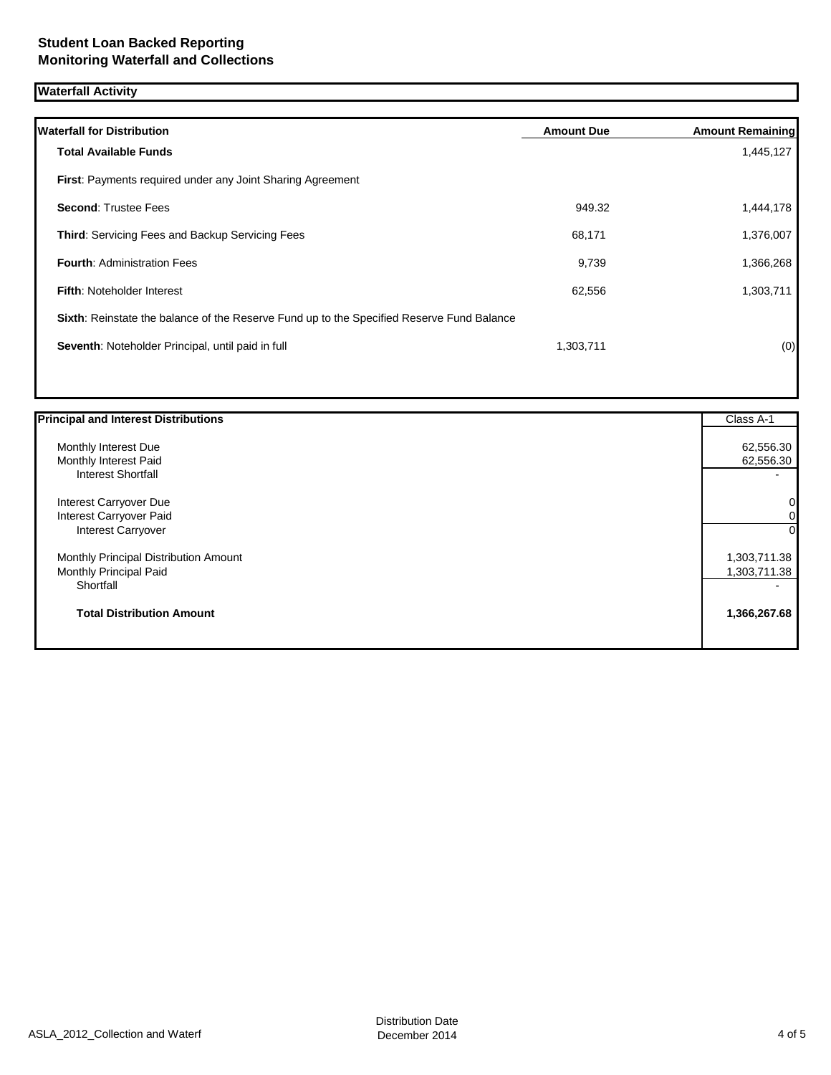# **Waterfall Activity**

| <b>Waterfall for Distribution</b>                                                         | <b>Amount Due</b> | <b>Amount Remaining</b> |
|-------------------------------------------------------------------------------------------|-------------------|-------------------------|
| <b>Total Available Funds</b>                                                              |                   | 1,445,127               |
| <b>First: Payments required under any Joint Sharing Agreement</b>                         |                   |                         |
| <b>Second: Trustee Fees</b>                                                               | 949.32            | 1,444,178               |
| <b>Third: Servicing Fees and Backup Servicing Fees</b>                                    | 68,171            | 1,376,007               |
| <b>Fourth: Administration Fees</b>                                                        | 9,739             | 1,366,268               |
| <b>Fifth: Noteholder Interest</b>                                                         | 62,556            | 1,303,711               |
| Sixth: Reinstate the balance of the Reserve Fund up to the Specified Reserve Fund Balance |                   |                         |
| Seventh: Noteholder Principal, until paid in full                                         | 1,303,711         | (0)                     |
|                                                                                           |                   |                         |

| <b>Principal and Interest Distributions</b> | Class A-1    |
|---------------------------------------------|--------------|
| Monthly Interest Due                        | 62,556.30    |
| Monthly Interest Paid                       | 62,556.30    |
| <b>Interest Shortfall</b>                   |              |
| Interest Carryover Due                      | 0            |
| Interest Carryover Paid                     | 0            |
| Interest Carryover                          | $\Omega$     |
| Monthly Principal Distribution Amount       | 1,303,711.38 |
| Monthly Principal Paid                      | 1,303,711.38 |
| Shortfall                                   |              |
| <b>Total Distribution Amount</b>            | 1,366,267.68 |
|                                             |              |